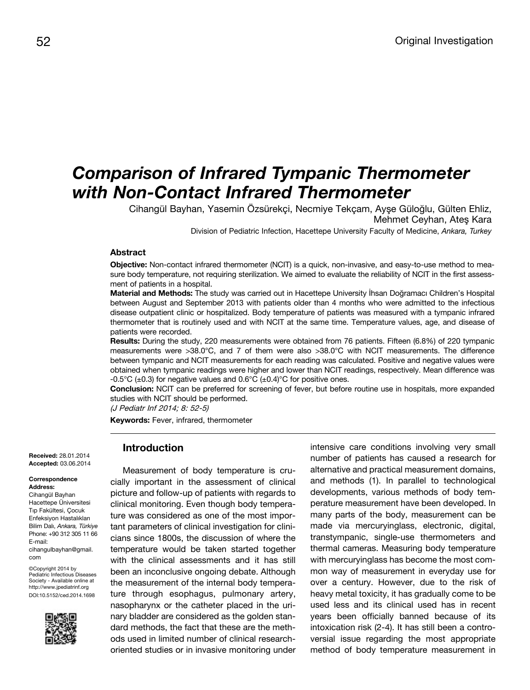# *Comparison of Infrared Tympanic Thermometer with Non-Contact Infrared Thermometer*

Cihangül Bayhan, Yasemin Özsürekçi, Necmiye Tekçam, Ayşe Güloğlu, Gülten Ehliz, Mehmet Ceyhan, Ateş Kara

Division of Pediatric Infection, Hacettepe University Faculty of Medicine, *Ankara, Turkey*

#### **Abstract**

**Objective:** Non-contact infrared thermometer (NCIT) is a quick, non-invasive, and easy-to-use method to measure body temperature, not requiring sterilization. We aimed to evaluate the reliability of NCIT in the first assessment of patients in a hospital.

**Material and Methods:** The study was carried out in Hacettepe University İhsan Doğramacı Children's Hospital between August and September 2013 with patients older than 4 months who were admitted to the infectious disease outpatient clinic or hospitalized. Body temperature of patients was measured with a tympanic infrared thermometer that is routinely used and with NCIT at the same time. Temperature values, age, and disease of patients were recorded.

**Results:** During the study, 220 measurements were obtained from 76 patients. Fifteen (6.8%) of 220 tympanic measurements were >38.0°C, and 7 of them were also >38.0°C with NCIT measurements. The difference between tympanic and NCIT measurements for each reading was calculated. Positive and negative values were obtained when tympanic readings were higher and lower than NCIT readings, respectively. Mean difference was -0.5°C ( $\pm$ 0.3) for negative values and 0.6°C ( $\pm$ 0.4)°C for positive ones.

**Conclusion:** NCIT can be preferred for screening of fever, but before routine use in hospitals, more expanded studies with NCIT should be performed.

(J Pediatr Inf 2014; 8: 52-5)

**Keywords:** Fever, infrared, thermometer

**Received:** 28.01.2014 **Accepted:** 03.06.2014

#### **Correspondence Address:**

Cihangül Bayhan Hacettepe Üniversitesi Tıp Fakültesi, Çocuk Enfeksiyon Hastalıkları Bilim Dalı, *Ankara, Türkiye* Phone: +90 312 305 11 66 E-mail: cihangulbayhan@gmail. com

©Copyright 2014 by Pediatric Infectious Diseases Society - Available online at http://www.jpediatrinf.org DOI:10.5152/ced.2014.1698



## **Introduction**

Measurement of body temperature is crucially important in the assessment of clinical picture and follow-up of patients with regards to clinical monitoring. Even though body temperature was considered as one of the most important parameters of clinical investigation for clinicians since 1800s, the discussion of where the temperature would be taken started together with the clinical assessments and it has still been an inconclusive ongoing debate. Although the measurement of the internal body temperature through esophagus, pulmonary artery, nasopharynx or the catheter placed in the urinary bladder are considered as the golden standard methods, the fact that these are the methods used in limited number of clinical researchoriented studies or in invasive monitoring under intensive care conditions involving very small number of patients has caused a research for alternative and practical measurement domains, and methods (1). In parallel to technological developments, various methods of body temperature measurement have been developed. In many parts of the body, measurement can be made via mercuryinglass, electronic, digital, transtympanic, single-use thermometers and thermal cameras. Measuring body temperature with mercuryinglass has become the most common way of measurement in everyday use for over a century. However, due to the risk of heavy metal toxicity, it has gradually come to be used less and its clinical used has in recent years been officially banned because of its intoxication risk (2-4). It has still been a controversial issue regarding the most appropriate method of body temperature measurement in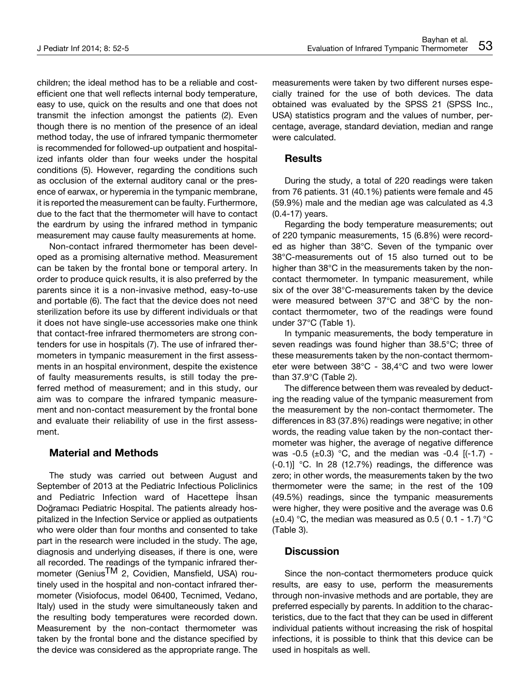children; the ideal method has to be a reliable and costefficient one that well reflects internal body temperature, easy to use, quick on the results and one that does not transmit the infection amongst the patients (2). Even though there is no mention of the presence of an ideal method today, the use of infrared tympanic thermometer is recommended for followed-up outpatient and hospitalized infants older than four weeks under the hospital conditions (5). However, regarding the conditions such as occlusion of the external auditory canal or the presence of earwax, or hyperemia in the tympanic membrane, it is reported the measurement can be faulty. Furthermore, due to the fact that the thermometer will have to contact the eardrum by using the infrared method in tympanic measurement may cause faulty measurements at home.

Non-contact infrared thermometer has been developed as a promising alternative method. Measurement can be taken by the frontal bone or temporal artery. In order to produce quick results, it is also preferred by the parents since it is a non-invasive method, easy-to-use and portable (6). The fact that the device does not need sterilization before its use by different individuals or that it does not have single-use accessories make one think that contact-free infrared thermometers are strong contenders for use in hospitals (7). The use of infrared thermometers in tympanic measurement in the first assessments in an hospital environment, despite the existence of faulty measurements results, is still today the preferred method of measurement; and in this study, our aim was to compare the infrared tympanic measurement and non-contact measurement by the frontal bone and evaluate their reliability of use in the first assessment.

#### **Material and Methods**

The study was carried out between August and September of 2013 at the Pediatric Infectious Policlinics and Pediatric Infection ward of Hacettepe İhsan Doğramacı Pediatric Hospital. The patients already hospitalized in the Infection Service or applied as outpatients who were older than four months and consented to take part in the research were included in the study. The age, diagnosis and underlying diseases, if there is one, were all recorded. The readings of the tympanic infrared thermometer (Genius<sup>TM</sup> 2, Covidien, Mansfield, USA) routinely used in the hospital and non-contact infrared thermometer (Visiofocus, model 06400, Tecnimed, Vedano, Italy) used in the study were simultaneously taken and the resulting body temperatures were recorded down. Measurement by the non-contact thermometer was taken by the frontal bone and the distance specified by the device was considered as the appropriate range. The measurements were taken by two different nurses especially trained for the use of both devices. The data obtained was evaluated by the SPSS 21 (SPSS Inc., USA) statistics program and the values of number, percentage, average, standard deviation, median and range were calculated.

#### **Results**

During the study, a total of 220 readings were taken from 76 patients. 31 (40.1%) patients were female and 45 (59.9%) male and the median age was calculated as 4.3 (0.4-17) years.

Regarding the body temperature measurements; out of 220 tympanic measurements, 15 (6.8%) were recorded as higher than 38°C. Seven of the tympanic over 38°C-measurements out of 15 also turned out to be higher than 38°C in the measurements taken by the noncontact thermometer. In tympanic measurement, while six of the over 38°C-measurements taken by the device were measured between 37°C and 38°C by the noncontact thermometer, two of the readings were found under 37°C (Table 1).

In tympanic measurements, the body temperature in seven readings was found higher than 38.5°C; three of these measurements taken by the non-contact thermometer were between 38°C - 38,4°C and two were lower than 37.9°C (Table 2).

The difference between them was revealed by deducting the reading value of the tympanic measurement from the measurement by the non-contact thermometer. The differences in 83 (37.8%) readings were negative; in other words, the reading value taken by the non-contact thermometer was higher, the average of negative difference was -0.5 ( $\pm$ 0.3) °C, and the median was -0.4 [(-1.7) -(-0.1)] °C. In 28 (12.7%) readings, the difference was zero; in other words, the measurements taken by the two thermometer were the same; in the rest of the 109 (49.5%) readings, since the tympanic measurements were higher, they were positive and the average was 0.6 ( $\pm$ 0.4) °C, the median was measured as 0.5 (0.1 - 1.7) °C (Table 3).

### **Discussion**

Since the non-contact thermometers produce quick results, are easy to use, perform the measurements through non-invasive methods and are portable, they are preferred especially by parents. In addition to the characteristics, due to the fact that they can be used in different individual patients without increasing the risk of hospital infections, it is possible to think that this device can be used in hospitals as well.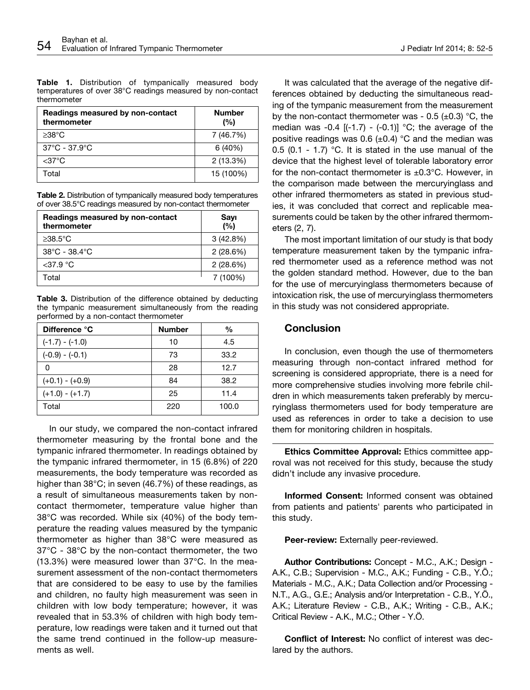| Readings measured by non-contact<br>thermometer | <b>Number</b><br>(%) |
|-------------------------------------------------|----------------------|
| $>38^{\circ}C$                                  | 7 (46.7%)            |
| $37^{\circ}$ C - $37.9^{\circ}$ C               | 6(40%)               |
| $<$ 37°C                                        | $2(13.3\%)$          |
| Total                                           | 15 (100%)            |

**Table 2.** Distribution of tympanically measured body temperatures of over 38.5°C readings measured by non-contact thermometer

| Readings measured by non-contact<br>thermometer | Sayı<br>(%) |
|-------------------------------------------------|-------------|
| $\geq$ 38.5°C                                   | $3(42.8\%)$ |
| $38^{\circ}$ C - 38.4 $^{\circ}$ C              | 2(28.6%)    |
| $<$ 37.9 °C                                     | 2(28.6%)    |
| Total                                           | 7 (100%)    |

**Table 3.** Distribution of the difference obtained by deducting the tympanic measurement simultaneously from the reading performed by a non-contact thermometer

| Difference °C     | <b>Number</b> | $\frac{0}{0}$ |
|-------------------|---------------|---------------|
| $(-1.7) - (-1.0)$ | 10            | 4.5           |
| $(-0.9) - (-0.1)$ | 73            | 33.2          |
| O                 | 28            | 12.7          |
| $(+0.1) - (+0.9)$ | 84            | 38.2          |
| $(+1.0) - (+1.7)$ | 25            | 11.4          |
| Total             | 220           | 100.0         |

In our study, we compared the non-contact infrared thermometer measuring by the frontal bone and the tympanic infrared thermometer. In readings obtained by the tympanic infrared thermometer, in 15 (6.8%) of 220 measurements, the body temperature was recorded as higher than 38°C; in seven (46.7%) of these readings, as a result of simultaneous measurements taken by noncontact thermometer, temperature value higher than 38°C was recorded. While six (40%) of the body temperature the reading values measured by the tympanic thermometer as higher than 38°C were measured as 37°C - 38°C by the non-contact thermometer, the two (13.3%) were measured lower than 37°C. In the measurement assessment of the non-contact thermometers that are considered to be easy to use by the families and children, no faulty high measurement was seen in children with low body temperature; however, it was revealed that in 53.3% of children with high body temperature, low readings were taken and it turned out that the same trend continued in the follow-up measurements as well.

It was calculated that the average of the negative differences obtained by deducting the simultaneous reading of the tympanic measurement from the measurement by the non-contact thermometer was - 0.5  $(\pm 0.3)$  °C, the median was -0.4  $[(-1.7) - (-0.1)]$  °C; the average of the positive readings was 0.6  $(\pm 0.4)$  °C and the median was 0.5 (0.1 - 1.7) °C. It is stated in the use manual of the device that the highest level of tolerable laboratory error for the non-contact thermometer is  $\pm 0.3^{\circ}$ C. However, in the comparison made between the mercuryinglass and other infrared thermometers as stated in previous studies, it was concluded that correct and replicable measurements could be taken by the other infrared thermometers (2, 7).

The most important limitation of our study is that body temperature measurement taken by the tympanic infrared thermometer used as a reference method was not the golden standard method. However, due to the ban for the use of mercuryinglass thermometers because of intoxication risk, the use of mercuryinglass thermometers in this study was not considered appropriate.

#### **Conclusion**

In conclusion, even though the use of thermometers measuring through non-contact infrared method for screening is considered appropriate, there is a need for more comprehensive studies involving more febrile children in which measurements taken preferably by mercuryinglass thermometers used for body temperature are used as references in order to take a decision to use them for monitoring children in hospitals.

**Ethics Committee Approval:** Ethics committee approval was not received for this study, because the study didn't include any invasive procedure.

**Informed Consent:** Informed consent was obtained from patients and patients' parents who participated in this study.

**Peer-review:** Externally peer-reviewed.

**Author Contributions:** Concept - M.C., A.K.; Design - A.K., C.B.; Supervision - M.C., A.K.; Funding - C.B., Y.Ö.; Materials - M.C., A.K.; Data Collection and/or Processing - N.T., A.G., G.E.; Analysis and/or Interpretation - C.B., Y.Ö., A.K.; Literature Review - C.B., A.K.; Writing - C.B., A.K.; Critical Review - A.K., M.C.; Other - Y.Ö.

**Conflict of Interest:** No conflict of interest was declared by the authors.